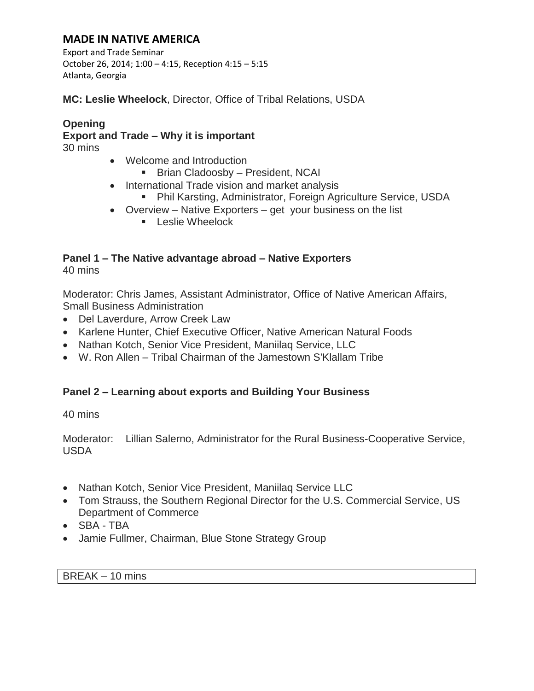## **MADE IN NATIVE AMERICA**

Export and Trade Seminar October 26, 2014; 1:00 – 4:15, Reception 4:15 – 5:15 Atlanta, Georgia

**MC: Leslie Wheelock**, Director, Office of Tribal Relations, USDA

# **Opening Export and Trade – Why it is important**

30 mins

- Welcome and Introduction
	- Brian Cladoosby President, NCAI
- International Trade vision and market analysis
	- Phil Karsting, Administrator, Foreign Agriculture Service, USDA
- Overview Native Exporters get your business on the list
	- **Leslie Wheelock**

#### **Panel 1 – The Native advantage abroad – Native Exporters** 40 mins

Moderator: Chris James, Assistant Administrator, Office of Native American Affairs, Small Business Administration

- Del Laverdure, Arrow Creek Law
- Karlene Hunter, Chief Executive Officer, Native American Natural Foods
- Nathan Kotch, Senior Vice President, Maniilag Service, LLC
- W. Ron Allen Tribal Chairman of the Jamestown S'Klallam Tribe

## **Panel 2 – Learning about exports and Building Your Business**

40 mins

Moderator: Lillian Salerno, Administrator for the Rural Business-Cooperative Service, USDA

- Nathan Kotch, Senior Vice President, Maniilag Service LLC
- Tom Strauss, the Southern Regional Director for the U.S. Commercial Service, US Department of Commerce
- SBA TBA
- Jamie Fullmer, Chairman, Blue Stone Strategy Group

BREAK – 10 mins